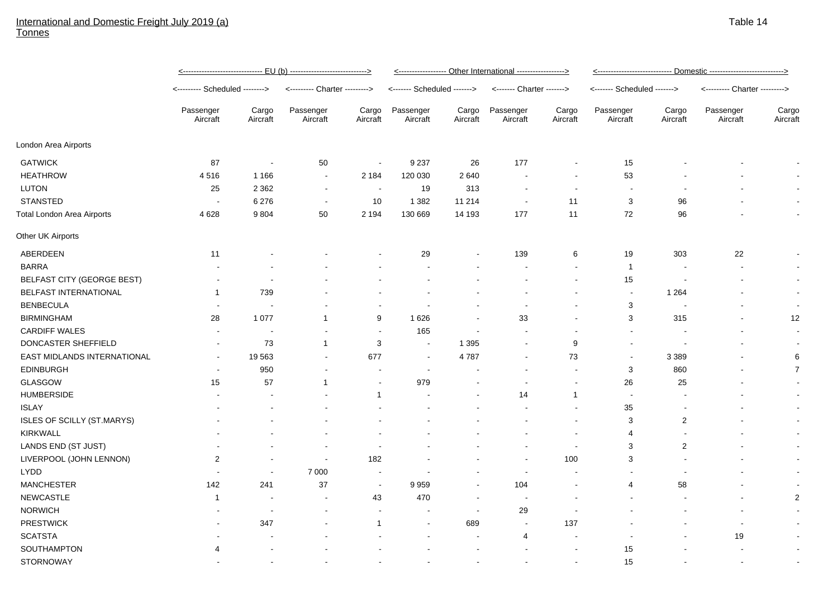## International and Domestic Freight July 2019 (a) **Tonnes**

|                                   | <------------------------------ EU (b) ----------------------------> |                          |                               |                          | <----------------- Other International -----------------> |                   |                           |                          | <u> &lt;--------------------------- Domestic --------------------------&gt;</u> |                          |                               |                          |
|-----------------------------------|----------------------------------------------------------------------|--------------------------|-------------------------------|--------------------------|-----------------------------------------------------------|-------------------|---------------------------|--------------------------|---------------------------------------------------------------------------------|--------------------------|-------------------------------|--------------------------|
|                                   | <-------- Scheduled -------->                                        |                          | <--------- Charter ---------> |                          | <------- Scheduled ------->                               |                   | <------- Charter -------> |                          | <------- Scheduled ------->                                                     |                          | <--------- Charter ---------> |                          |
|                                   | Passenger<br>Aircraft                                                | Cargo<br>Aircraft        | Passenger<br>Aircraft         | Cargo<br>Aircraft        | Passenger<br>Aircraft                                     | Cargo<br>Aircraft | Passenger<br>Aircraft     | Cargo<br>Aircraft        | Passenger<br>Aircraft                                                           | Cargo<br>Aircraft        | Passenger<br>Aircraft         | Cargo<br>Aircraft        |
| London Area Airports              |                                                                      |                          |                               |                          |                                                           |                   |                           |                          |                                                                                 |                          |                               |                          |
| <b>GATWICK</b>                    | 87                                                                   | $\overline{\phantom{a}}$ | 50                            | $\sim$                   | 9 2 3 7                                                   | 26                | 177                       |                          | 15                                                                              |                          |                               |                          |
| <b>HEATHROW</b>                   | 4516                                                                 | 1 1 6 6                  | $\sim$                        | 2 1 8 4                  | 120 030                                                   | 2640              |                           |                          | 53                                                                              |                          |                               |                          |
| LUTON                             | 25                                                                   | 2 3 6 2                  | $\overline{\phantom{a}}$      | $\blacksquare$           | 19                                                        | 313               |                           | $\overline{\phantom{a}}$ | $\blacksquare$                                                                  |                          |                               |                          |
| <b>STANSTED</b>                   | $\blacksquare$                                                       | 6 2 7 6                  | $\blacksquare$                | 10                       | 1 3 8 2                                                   | 11 214            | $\overline{\phantom{a}}$  | 11                       | 3                                                                               | 96                       |                               | $\sim$                   |
| <b>Total London Area Airports</b> | 4 6 28                                                               | 9804                     | 50                            | 2 1 9 4                  | 130 669                                                   | 14 193            | 177                       | 11                       | 72                                                                              | 96                       |                               | $\overline{a}$           |
| Other UK Airports                 |                                                                      |                          |                               |                          |                                                           |                   |                           |                          |                                                                                 |                          |                               |                          |
| ABERDEEN                          | 11                                                                   |                          |                               |                          | 29                                                        |                   | 139                       | 6                        | 19                                                                              | 303                      | 22                            |                          |
| <b>BARRA</b>                      |                                                                      |                          |                               |                          |                                                           |                   |                           |                          | $\overline{1}$                                                                  |                          |                               | $\blacksquare$           |
| BELFAST CITY (GEORGE BEST)        |                                                                      | $\overline{a}$           |                               |                          | $\overline{a}$                                            |                   |                           | $\sim$                   | 15                                                                              | $\overline{\phantom{a}}$ |                               | $\sim$                   |
| BELFAST INTERNATIONAL             | 1                                                                    | 739                      |                               |                          |                                                           |                   |                           |                          | $\sim$                                                                          | 1 2 6 4                  |                               | $\sim$                   |
| <b>BENBECULA</b>                  |                                                                      | ÷,                       |                               |                          | $\blacksquare$                                            |                   | $\overline{\phantom{a}}$  |                          | 3                                                                               | $\overline{\phantom{a}}$ |                               | $\sim$                   |
| <b>BIRMINGHAM</b>                 | 28                                                                   | 1 0 7 7                  | $\mathbf{1}$                  | 9                        | 1626                                                      |                   | 33                        |                          | 3                                                                               | 315                      |                               | 12                       |
| <b>CARDIFF WALES</b>              |                                                                      | $\blacksquare$           |                               | $\sim$                   | 165                                                       |                   |                           |                          |                                                                                 |                          |                               |                          |
| DONCASTER SHEFFIELD               | $\sim$                                                               | 73                       | $\mathbf{1}$                  | 3                        | $\overline{\phantom{a}}$                                  | 1 3 9 5           |                           | 9                        | $\sim$                                                                          |                          |                               | $\sim$                   |
| EAST MIDLANDS INTERNATIONAL       | $\overline{\phantom{a}}$                                             | 19563                    | $\sim$                        | 677                      | $\overline{\phantom{a}}$                                  | 4787              |                           | 73                       | $\sim$                                                                          | 3 3 8 9                  |                               | 6                        |
| <b>EDINBURGH</b>                  |                                                                      | 950                      | $\overline{\phantom{a}}$      |                          | $\overline{\phantom{a}}$                                  |                   |                           | $\sim$                   | 3                                                                               | 860                      |                               | $\overline{7}$           |
| <b>GLASGOW</b>                    | 15                                                                   | 57                       | $\mathbf 1$                   | $\blacksquare$           | 979                                                       |                   |                           |                          | 26                                                                              | 25                       |                               |                          |
| <b>HUMBERSIDE</b>                 |                                                                      |                          |                               | $\mathbf{1}$             |                                                           |                   | 14                        | $\mathbf{1}$             | $\overline{\phantom{a}}$                                                        |                          |                               |                          |
| <b>ISLAY</b>                      |                                                                      |                          |                               |                          |                                                           |                   |                           |                          | 35                                                                              |                          |                               |                          |
| <b>ISLES OF SCILLY (ST.MARYS)</b> |                                                                      |                          |                               |                          |                                                           |                   |                           |                          | 3                                                                               | $\overline{2}$           |                               |                          |
| <b>KIRKWALL</b>                   |                                                                      |                          |                               |                          |                                                           |                   |                           |                          | 4                                                                               |                          |                               |                          |
| LANDS END (ST JUST)               |                                                                      |                          |                               |                          |                                                           |                   |                           | $\overline{\phantom{a}}$ | 3                                                                               | $\overline{2}$           |                               |                          |
| LIVERPOOL (JOHN LENNON)           | $\overline{c}$                                                       |                          | $\sim$                        | 182                      |                                                           |                   | $\overline{\phantom{a}}$  | 100                      | 3                                                                               |                          |                               |                          |
| <b>LYDD</b>                       |                                                                      | $\blacksquare$           | 7 0 0 0                       | $\blacksquare$           |                                                           |                   | $\overline{\phantom{a}}$  |                          |                                                                                 |                          |                               | $\sim$                   |
| <b>MANCHESTER</b>                 | 142                                                                  | 241                      | 37                            | $\blacksquare$           | 9959                                                      |                   | 104                       |                          | 4                                                                               | 58                       |                               |                          |
| NEWCASTLE                         | 1                                                                    |                          | $\blacksquare$                | 43                       | 470                                                       |                   | ÷,                        |                          |                                                                                 |                          |                               | $\overline{2}$           |
| <b>NORWICH</b>                    |                                                                      |                          | $\blacksquare$                | $\overline{\phantom{a}}$ | $\sim$                                                    | $\sim$            | 29                        |                          |                                                                                 |                          |                               |                          |
| <b>PRESTWICK</b>                  |                                                                      | 347                      | $\overline{\phantom{a}}$      | $\mathbf{1}$             | $\overline{\phantom{a}}$                                  | 689               | $\sim$                    | 137                      |                                                                                 |                          | $\overline{\phantom{a}}$      |                          |
| <b>SCATSTA</b>                    |                                                                      |                          |                               |                          |                                                           | $\blacksquare$    | 4                         |                          |                                                                                 |                          | 19                            |                          |
| SOUTHAMPTON                       | 4                                                                    |                          |                               |                          |                                                           |                   |                           |                          | 15                                                                              |                          |                               | $\sim$                   |
| <b>STORNOWAY</b>                  |                                                                      |                          |                               |                          |                                                           |                   |                           |                          | 15                                                                              |                          |                               | $\overline{\phantom{a}}$ |